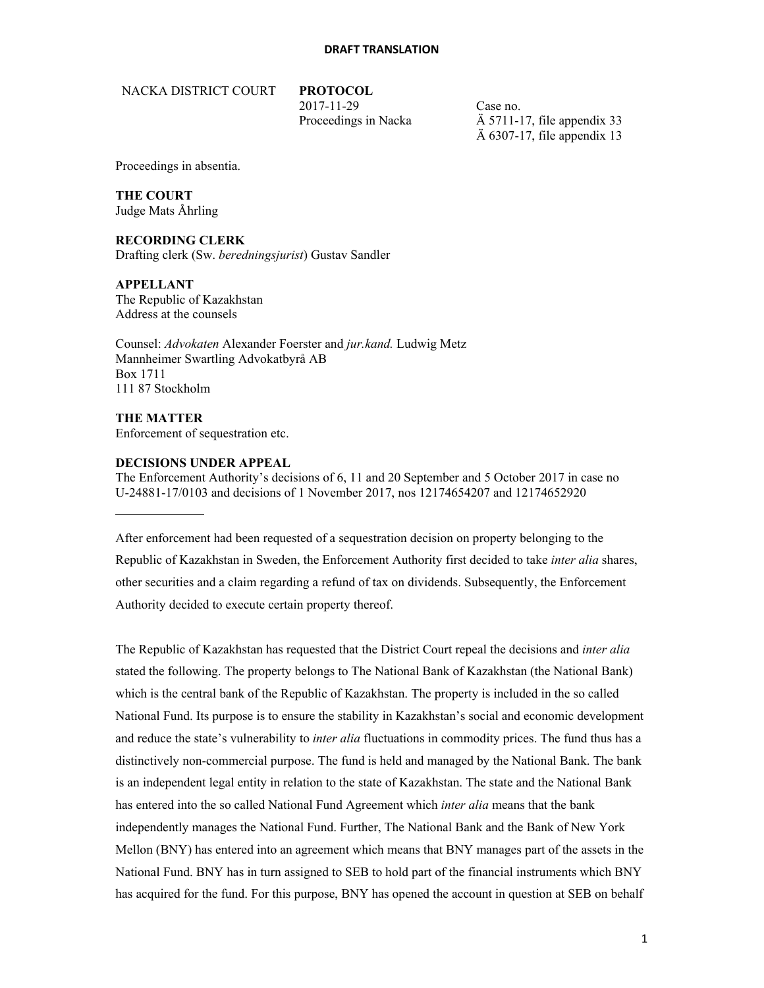NACKA DISTRICT COURT **PROTOCOL** 

2017-11-29 Case no.

Proceedings in Nacka  $\overrightarrow{A}$  5711-17, file appendix 33 Ä 6307-17, file appendix 13

Proceedings in absentia.

## **THE COURT**

Judge Mats Åhrling

## **RECORDING CLERK**

Drafting clerk (Sw. *beredningsjurist*) Gustav Sandler

### **APPELLANT**

The Republic of Kazakhstan Address at the counsels

Counsel: *Advokaten* Alexander Foerster and *jur.kand.* Ludwig Metz Mannheimer Swartling Advokatbyrå AB Box 1711 111 87 Stockholm

**THE MATTER**  Enforcement of sequestration etc.

## **DECISIONS UNDER APPEAL**

The Enforcement Authority's decisions of 6, 11 and 20 September and 5 October 2017 in case no U-24881-17/0103 and decisions of 1 November 2017, nos 12174654207 and 12174652920

After enforcement had been requested of a sequestration decision on property belonging to the Republic of Kazakhstan in Sweden, the Enforcement Authority first decided to take *inter alia* shares, other securities and a claim regarding a refund of tax on dividends. Subsequently, the Enforcement Authority decided to execute certain property thereof.

The Republic of Kazakhstan has requested that the District Court repeal the decisions and *inter alia* stated the following. The property belongs to The National Bank of Kazakhstan (the National Bank) which is the central bank of the Republic of Kazakhstan. The property is included in the so called National Fund. Its purpose is to ensure the stability in Kazakhstan's social and economic development and reduce the state's vulnerability to *inter alia* fluctuations in commodity prices. The fund thus has a distinctively non-commercial purpose. The fund is held and managed by the National Bank. The bank is an independent legal entity in relation to the state of Kazakhstan. The state and the National Bank has entered into the so called National Fund Agreement which *inter alia* means that the bank independently manages the National Fund. Further, The National Bank and the Bank of New York Mellon (BNY) has entered into an agreement which means that BNY manages part of the assets in the National Fund. BNY has in turn assigned to SEB to hold part of the financial instruments which BNY has acquired for the fund. For this purpose, BNY has opened the account in question at SEB on behalf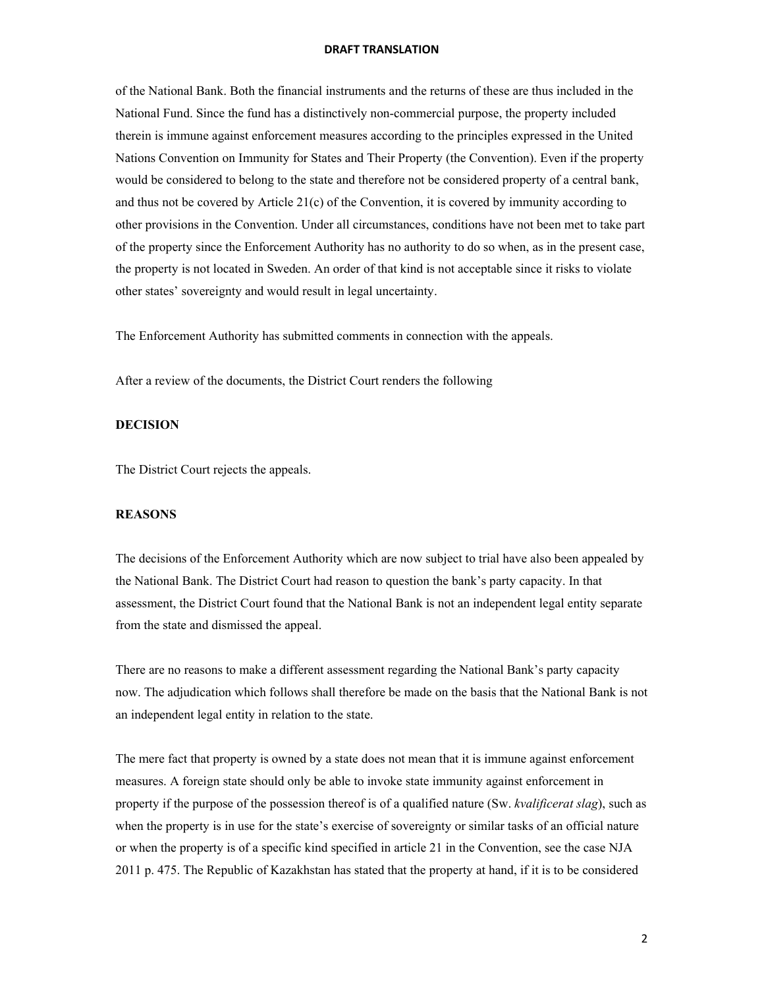of the National Bank. Both the financial instruments and the returns of these are thus included in the National Fund. Since the fund has a distinctively non-commercial purpose, the property included therein is immune against enforcement measures according to the principles expressed in the United Nations Convention on Immunity for States and Their Property (the Convention). Even if the property would be considered to belong to the state and therefore not be considered property of a central bank, and thus not be covered by Article  $21(c)$  of the Convention, it is covered by immunity according to other provisions in the Convention. Under all circumstances, conditions have not been met to take part of the property since the Enforcement Authority has no authority to do so when, as in the present case, the property is not located in Sweden. An order of that kind is not acceptable since it risks to violate other states' sovereignty and would result in legal uncertainty.

The Enforcement Authority has submitted comments in connection with the appeals.

After a review of the documents, the District Court renders the following

### **DECISION**

The District Court rejects the appeals.

## **REASONS**

The decisions of the Enforcement Authority which are now subject to trial have also been appealed by the National Bank. The District Court had reason to question the bank's party capacity. In that assessment, the District Court found that the National Bank is not an independent legal entity separate from the state and dismissed the appeal.

There are no reasons to make a different assessment regarding the National Bank's party capacity now. The adjudication which follows shall therefore be made on the basis that the National Bank is not an independent legal entity in relation to the state.

The mere fact that property is owned by a state does not mean that it is immune against enforcement measures. A foreign state should only be able to invoke state immunity against enforcement in property if the purpose of the possession thereof is of a qualified nature (Sw. *kvalificerat slag*), such as when the property is in use for the state's exercise of sovereignty or similar tasks of an official nature or when the property is of a specific kind specified in article 21 in the Convention, see the case NJA 2011 p. 475. The Republic of Kazakhstan has stated that the property at hand, if it is to be considered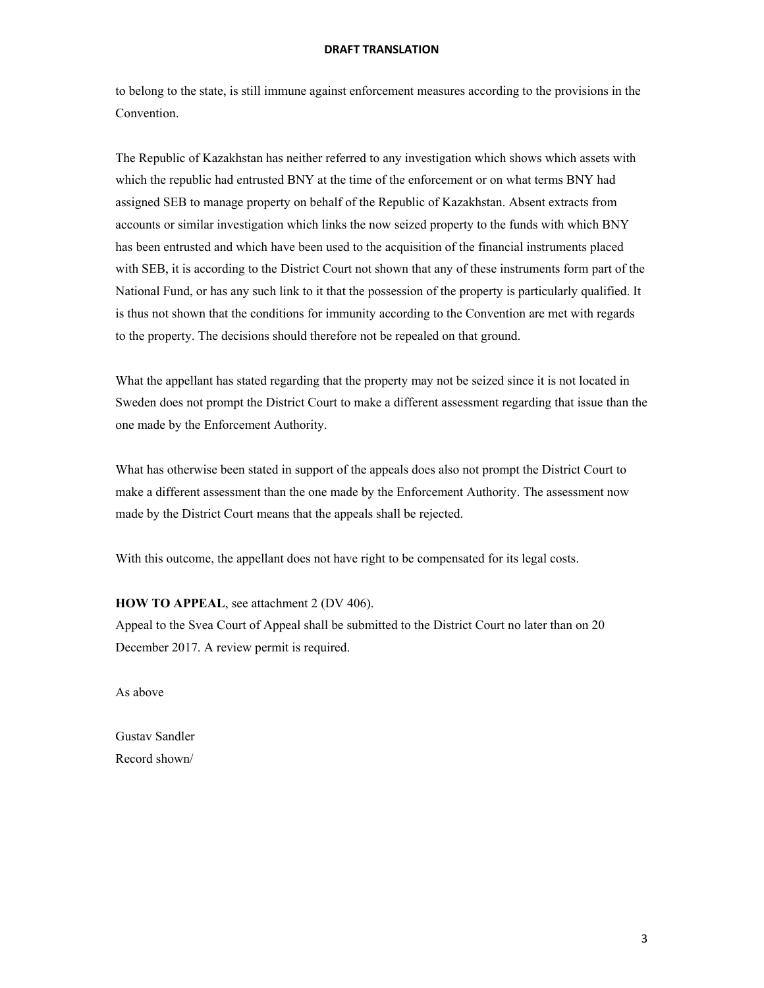to belong to the state, is still immune against enforcement measures according to the provisions in the Convention.

The Republic of Kazakhstan has neither referred to any investigation which shows which assets with which the republic had entrusted BNY at the time of the enforcement or on what terms BNY had assigned SEB to manage property on behalf of the Republic of Kazakhstan. Absent extracts from accounts or similar investigation which links the now seized property to the funds with which BNY has been entrusted and which have been used to the acquisition of the financial instruments placed with SEB, it is according to the District Court not shown that any of these instruments form part of the National Fund, or has any such link to it that the possession of the property is particularly qualified. It is thus not shown that the conditions for immunity according to the Convention are met with regards to the property. The decisions should therefore not be repealed on that ground.

What the appellant has stated regarding that the property may not be seized since it is not located in Sweden does not prompt the District Court to make a different assessment regarding that issue than the one made by the Enforcement Authority.

What has otherwise been stated in support of the appeals does also not prompt the District Court to make a different assessment than the one made by the Enforcement Authority. The assessment now made by the District Court means that the appeals shall be rejected.

With this outcome, the appellant does not have right to be compensated for its legal costs.

#### **HOW TO APPEAL**, see attachment 2 (DV 406).

Appeal to the Svea Court of Appeal shall be submitted to the District Court no later than on 20 December 2017. A review permit is required.

As above

Gustav Sandler Record shown/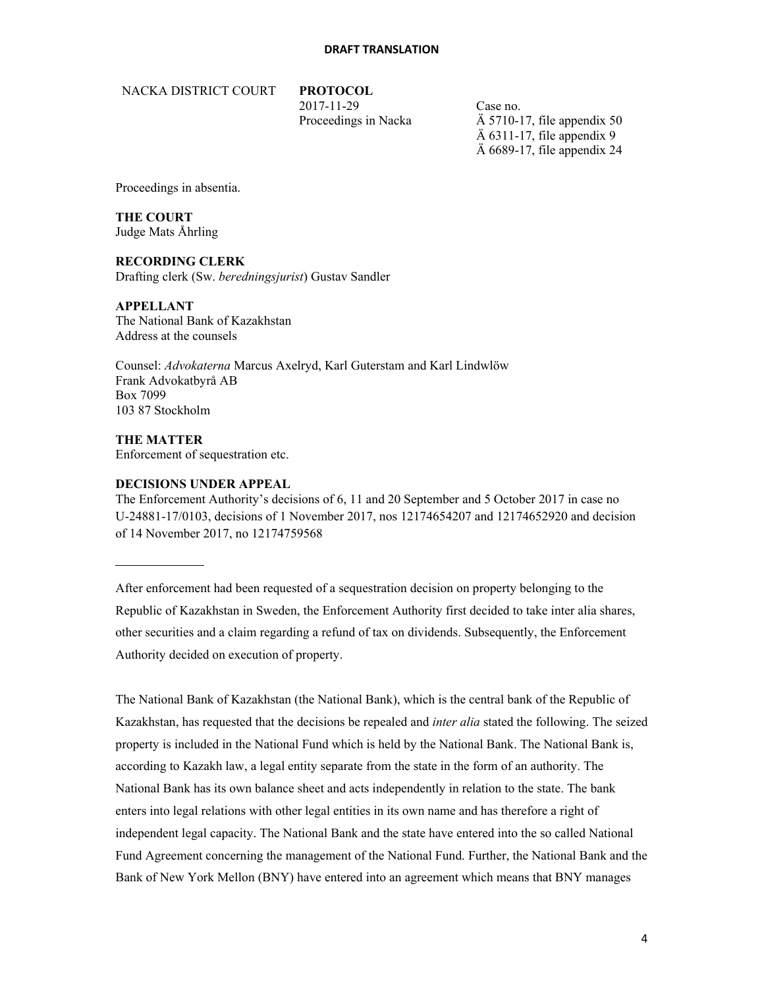NACKA DISTRICT COURT **PROTOCOL** 

2017-11-29 Case no.

Proceedings in Nacka  $\overrightarrow{A}$  5710-17, file appendix 50  $\ddot{A}$  6311-17, file appendix 9 Ä 6689-17, file appendix 24

Proceedings in absentia.

**THE COURT**  Judge Mats Åhrling

**RECORDING CLERK** 

Drafting clerk (Sw. *beredningsjurist*) Gustav Sandler

**APPELLANT** 

The National Bank of Kazakhstan Address at the counsels

Counsel: *Advokaterna* Marcus Axelryd, Karl Guterstam and Karl Lindwlöw Frank Advokatbyrå AB Box 7099 103 87 Stockholm

**THE MATTER**  Enforcement of sequestration etc.

## **DECISIONS UNDER APPEAL**

The Enforcement Authority's decisions of 6, 11 and 20 September and 5 October 2017 in case no U-24881-17/0103, decisions of 1 November 2017, nos 12174654207 and 12174652920 and decision of 14 November 2017, no 12174759568

After enforcement had been requested of a sequestration decision on property belonging to the Republic of Kazakhstan in Sweden, the Enforcement Authority first decided to take inter alia shares, other securities and a claim regarding a refund of tax on dividends. Subsequently, the Enforcement Authority decided on execution of property.

The National Bank of Kazakhstan (the National Bank), which is the central bank of the Republic of Kazakhstan, has requested that the decisions be repealed and *inter alia* stated the following. The seized property is included in the National Fund which is held by the National Bank. The National Bank is, according to Kazakh law, a legal entity separate from the state in the form of an authority. The National Bank has its own balance sheet and acts independently in relation to the state. The bank enters into legal relations with other legal entities in its own name and has therefore a right of independent legal capacity. The National Bank and the state have entered into the so called National Fund Agreement concerning the management of the National Fund. Further, the National Bank and the Bank of New York Mellon (BNY) have entered into an agreement which means that BNY manages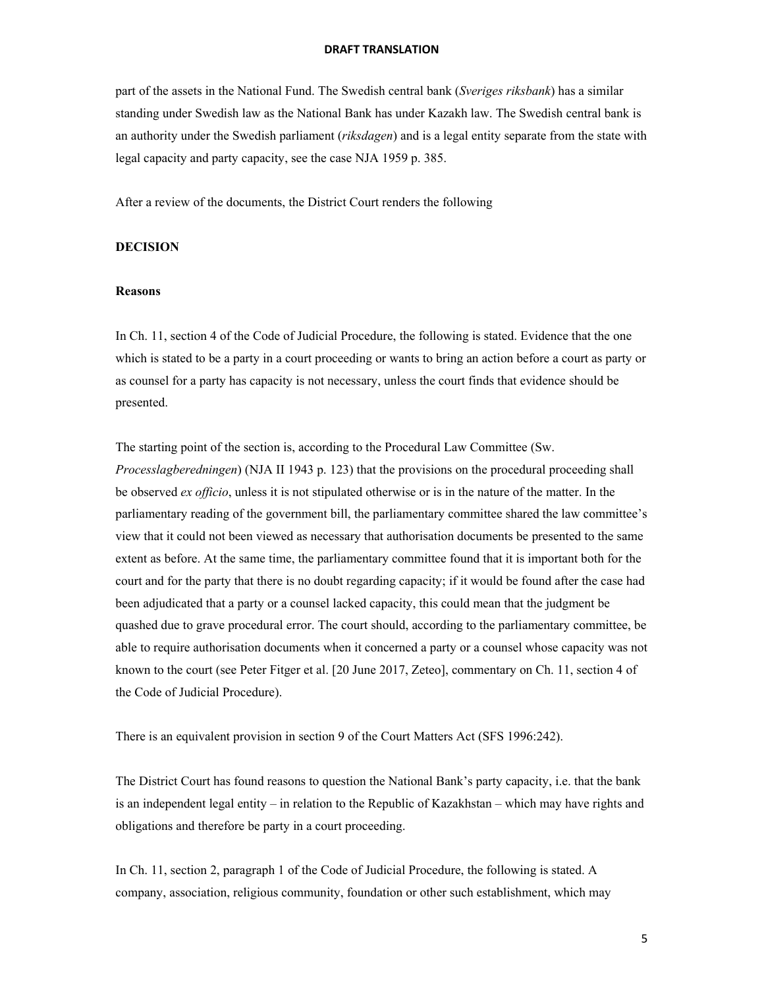part of the assets in the National Fund. The Swedish central bank (*Sveriges riksbank*) has a similar standing under Swedish law as the National Bank has under Kazakh law. The Swedish central bank is an authority under the Swedish parliament (*riksdagen*) and is a legal entity separate from the state with legal capacity and party capacity, see the case NJA 1959 p. 385.

After a review of the documents, the District Court renders the following

## **DECISION**

#### **Reasons**

In Ch. 11, section 4 of the Code of Judicial Procedure, the following is stated. Evidence that the one which is stated to be a party in a court proceeding or wants to bring an action before a court as party or as counsel for a party has capacity is not necessary, unless the court finds that evidence should be presented.

The starting point of the section is, according to the Procedural Law Committee (Sw. *Processlagberedningen*) (NJA II 1943 p. 123) that the provisions on the procedural proceeding shall be observed *ex officio*, unless it is not stipulated otherwise or is in the nature of the matter. In the parliamentary reading of the government bill, the parliamentary committee shared the law committee's view that it could not been viewed as necessary that authorisation documents be presented to the same extent as before. At the same time, the parliamentary committee found that it is important both for the court and for the party that there is no doubt regarding capacity; if it would be found after the case had been adjudicated that a party or a counsel lacked capacity, this could mean that the judgment be quashed due to grave procedural error. The court should, according to the parliamentary committee, be able to require authorisation documents when it concerned a party or a counsel whose capacity was not known to the court (see Peter Fitger et al. [20 June 2017, Zeteo], commentary on Ch. 11, section 4 of the Code of Judicial Procedure).

There is an equivalent provision in section 9 of the Court Matters Act (SFS 1996:242).

The District Court has found reasons to question the National Bank's party capacity, i.e. that the bank is an independent legal entity – in relation to the Republic of Kazakhstan – which may have rights and obligations and therefore be party in a court proceeding.

In Ch. 11, section 2, paragraph 1 of the Code of Judicial Procedure, the following is stated. A company, association, religious community, foundation or other such establishment, which may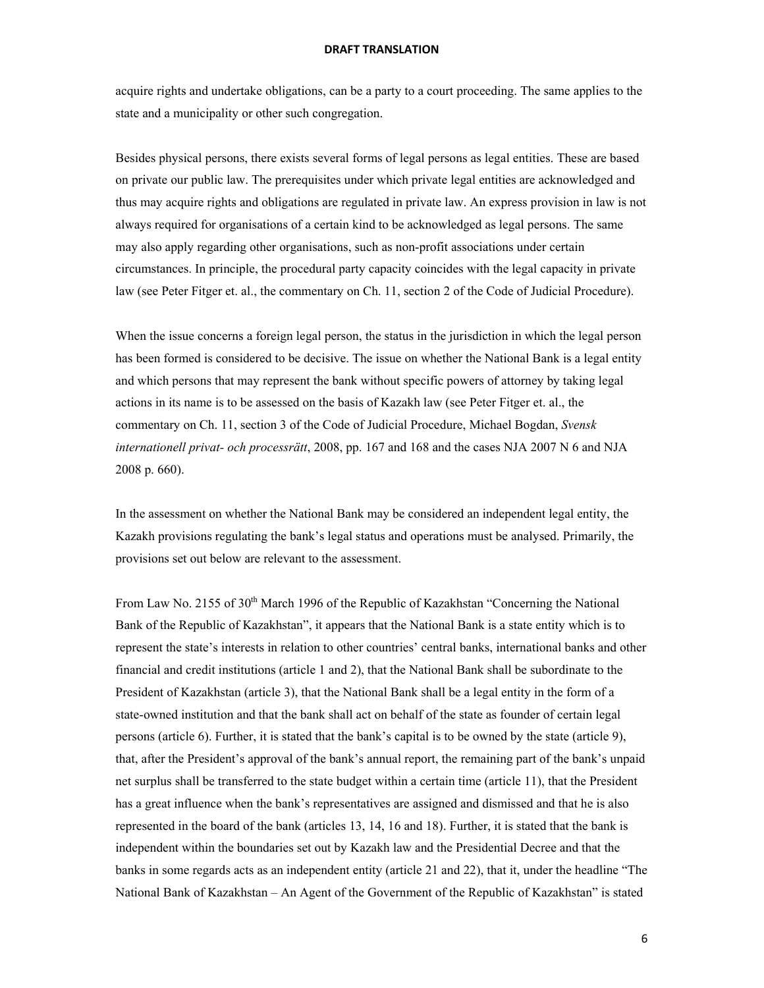acquire rights and undertake obligations, can be a party to a court proceeding. The same applies to the state and a municipality or other such congregation.

Besides physical persons, there exists several forms of legal persons as legal entities. These are based on private our public law. The prerequisites under which private legal entities are acknowledged and thus may acquire rights and obligations are regulated in private law. An express provision in law is not always required for organisations of a certain kind to be acknowledged as legal persons. The same may also apply regarding other organisations, such as non-profit associations under certain circumstances. In principle, the procedural party capacity coincides with the legal capacity in private law (see Peter Fitger et. al., the commentary on Ch. 11, section 2 of the Code of Judicial Procedure).

When the issue concerns a foreign legal person, the status in the jurisdiction in which the legal person has been formed is considered to be decisive. The issue on whether the National Bank is a legal entity and which persons that may represent the bank without specific powers of attorney by taking legal actions in its name is to be assessed on the basis of Kazakh law (see Peter Fitger et. al., the commentary on Ch. 11, section 3 of the Code of Judicial Procedure, Michael Bogdan, *Svensk internationell privat- och processrätt*, 2008, pp. 167 and 168 and the cases NJA 2007 N 6 and NJA 2008 p. 660).

In the assessment on whether the National Bank may be considered an independent legal entity, the Kazakh provisions regulating the bank's legal status and operations must be analysed. Primarily, the provisions set out below are relevant to the assessment.

From Law No. 2155 of 30<sup>th</sup> March 1996 of the Republic of Kazakhstan "Concerning the National" Bank of the Republic of Kazakhstan", it appears that the National Bank is a state entity which is to represent the state's interests in relation to other countries' central banks, international banks and other financial and credit institutions (article 1 and 2), that the National Bank shall be subordinate to the President of Kazakhstan (article 3), that the National Bank shall be a legal entity in the form of a state-owned institution and that the bank shall act on behalf of the state as founder of certain legal persons (article 6). Further, it is stated that the bank's capital is to be owned by the state (article 9), that, after the President's approval of the bank's annual report, the remaining part of the bank's unpaid net surplus shall be transferred to the state budget within a certain time (article 11), that the President has a great influence when the bank's representatives are assigned and dismissed and that he is also represented in the board of the bank (articles 13, 14, 16 and 18). Further, it is stated that the bank is independent within the boundaries set out by Kazakh law and the Presidential Decree and that the banks in some regards acts as an independent entity (article 21 and 22), that it, under the headline "The National Bank of Kazakhstan – An Agent of the Government of the Republic of Kazakhstan" is stated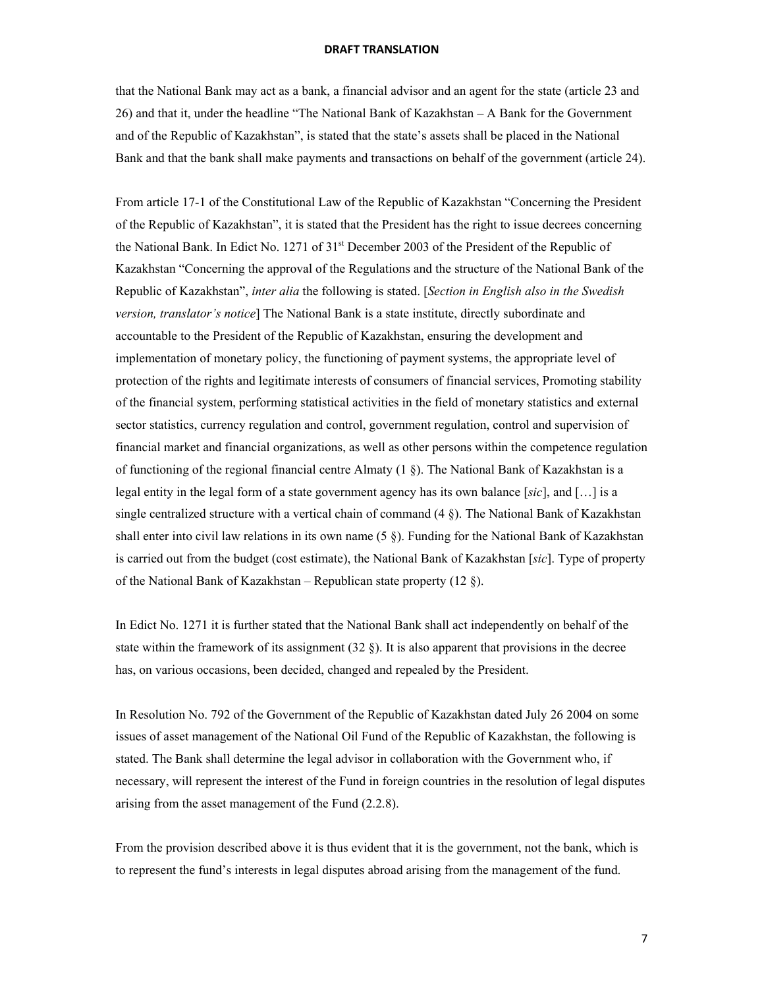that the National Bank may act as a bank, a financial advisor and an agent for the state (article 23 and 26) and that it, under the headline "The National Bank of Kazakhstan – A Bank for the Government and of the Republic of Kazakhstan", is stated that the state's assets shall be placed in the National Bank and that the bank shall make payments and transactions on behalf of the government (article 24).

From article 17-1 of the Constitutional Law of the Republic of Kazakhstan "Concerning the President of the Republic of Kazakhstan", it is stated that the President has the right to issue decrees concerning the National Bank. In Edict No. 1271 of  $31<sup>st</sup>$  December 2003 of the President of the Republic of Kazakhstan "Concerning the approval of the Regulations and the structure of the National Bank of the Republic of Kazakhstan", *inter alia* the following is stated. [*Section in English also in the Swedish version, translator's notice*] The National Bank is a state institute, directly subordinate and accountable to the President of the Republic of Kazakhstan, ensuring the development and implementation of monetary policy, the functioning of payment systems, the appropriate level of protection of the rights and legitimate interests of consumers of financial services, Promoting stability of the financial system, performing statistical activities in the field of monetary statistics and external sector statistics, currency regulation and control, government regulation, control and supervision of financial market and financial organizations, as well as other persons within the competence regulation of functioning of the regional financial centre Almaty (1 §). The National Bank of Kazakhstan is a legal entity in the legal form of a state government agency has its own balance [*sic*], and […] is a single centralized structure with a vertical chain of command (4 §). The National Bank of Kazakhstan shall enter into civil law relations in its own name (5 §). Funding for the National Bank of Kazakhstan is carried out from the budget (cost estimate), the National Bank of Kazakhstan [*sic*]. Type of property of the National Bank of Kazakhstan – Republican state property (12  $\S$ ).

In Edict No. 1271 it is further stated that the National Bank shall act independently on behalf of the state within the framework of its assignment  $(32 \text{ §})$ . It is also apparent that provisions in the decree has, on various occasions, been decided, changed and repealed by the President.

In Resolution No. 792 of the Government of the Republic of Kazakhstan dated July 26 2004 on some issues of asset management of the National Oil Fund of the Republic of Kazakhstan, the following is stated. The Bank shall determine the legal advisor in collaboration with the Government who, if necessary, will represent the interest of the Fund in foreign countries in the resolution of legal disputes arising from the asset management of the Fund (2.2.8).

From the provision described above it is thus evident that it is the government, not the bank, which is to represent the fund's interests in legal disputes abroad arising from the management of the fund.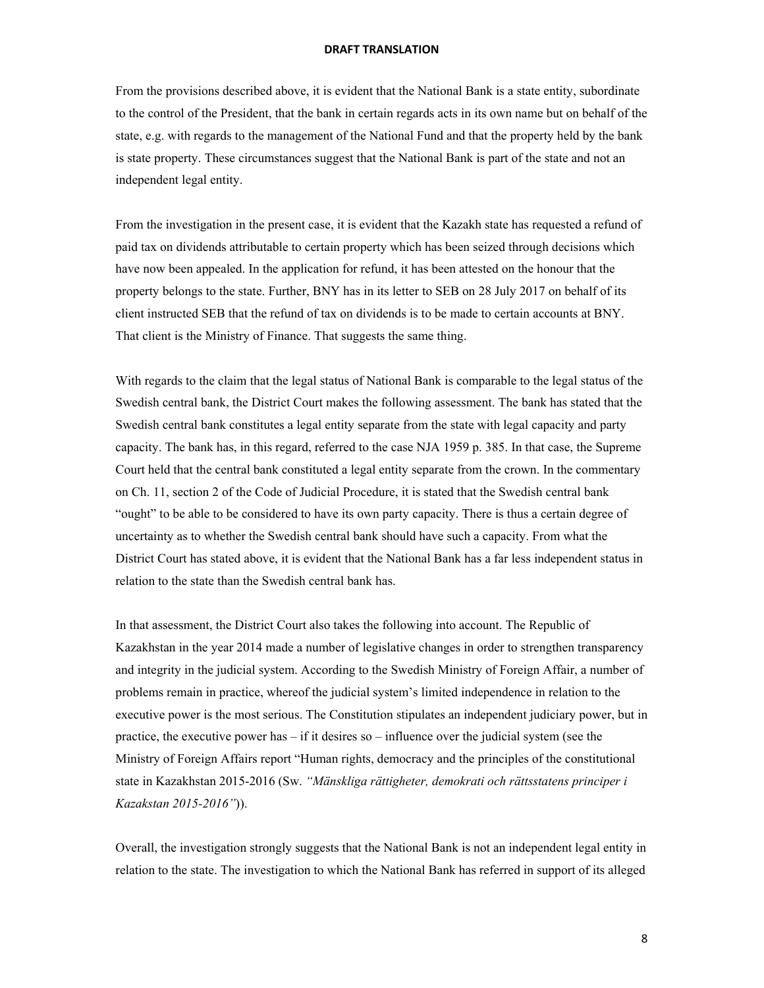From the provisions described above, it is evident that the National Bank is a state entity, subordinate to the control of the President, that the bank in certain regards acts in its own name but on behalf of the state, e.g. with regards to the management of the National Fund and that the property held by the bank is state property. These circumstances suggest that the National Bank is part of the state and not an independent legal entity.

From the investigation in the present case, it is evident that the Kazakh state has requested a refund of paid tax on dividends attributable to certain property which has been seized through decisions which have now been appealed. In the application for refund, it has been attested on the honour that the property belongs to the state. Further, BNY has in its letter to SEB on 28 July 2017 on behalf of its client instructed SEB that the refund of tax on dividends is to be made to certain accounts at BNY. That client is the Ministry of Finance. That suggests the same thing.

With regards to the claim that the legal status of National Bank is comparable to the legal status of the Swedish central bank, the District Court makes the following assessment. The bank has stated that the Swedish central bank constitutes a legal entity separate from the state with legal capacity and party capacity. The bank has, in this regard, referred to the case NJA 1959 p. 385. In that case, the Supreme Court held that the central bank constituted a legal entity separate from the crown. In the commentary on Ch. 11, section 2 of the Code of Judicial Procedure, it is stated that the Swedish central bank "ought" to be able to be considered to have its own party capacity. There is thus a certain degree of uncertainty as to whether the Swedish central bank should have such a capacity. From what the District Court has stated above, it is evident that the National Bank has a far less independent status in relation to the state than the Swedish central bank has.

In that assessment, the District Court also takes the following into account. The Republic of Kazakhstan in the year 2014 made a number of legislative changes in order to strengthen transparency and integrity in the judicial system. According to the Swedish Ministry of Foreign Affair, a number of problems remain in practice, whereof the judicial system's limited independence in relation to the executive power is the most serious. The Constitution stipulates an independent judiciary power, but in practice, the executive power has – if it desires so – influence over the judicial system (see the Ministry of Foreign Affairs report "Human rights, democracy and the principles of the constitutional state in Kazakhstan 2015-2016 (Sw. *"Mänskliga rättigheter, demokrati och rättsstatens principer i Kazakstan 2015-2016"*)).

Overall, the investigation strongly suggests that the National Bank is not an independent legal entity in relation to the state. The investigation to which the National Bank has referred in support of its alleged